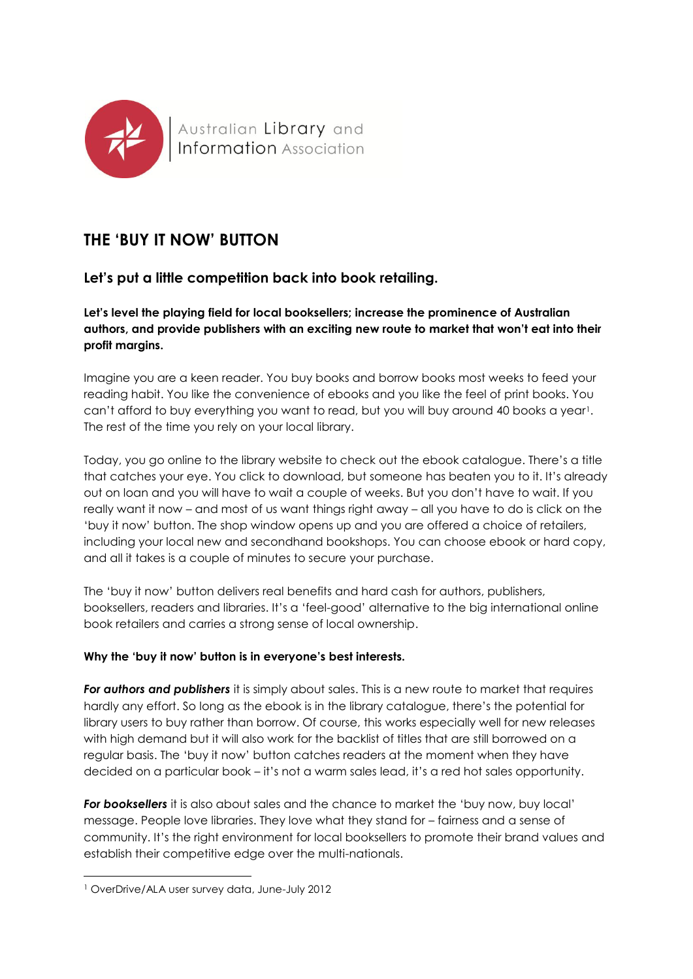

# **THE 'BUY IT NOW' BUTTON**

## **Let's put a little competition back into book retailing.**

**Let's level the playing field for local booksellers; increase the prominence of Australian authors, and provide publishers with an exciting new route to market that won't eat into their profit margins.**

Imagine you are a keen reader. You buy books and borrow books most weeks to feed your reading habit. You like the convenience of ebooks and you like the feel of print books. You can't afford to buy everything you want to read, but you will buy around 40 books a year!. The rest of the time you rely on your local library.

Today, you go online to the library website to check out the ebook catalogue. There's a title that catches your eye. You click to download, but someone has beaten you to it. It's already out on loan and you will have to wait a couple of weeks. But you don't have to wait. If you really want it now – and most of us want things right away – all you have to do is click on the 'buy it now' button. The shop window opens up and you are offered a choice of retailers, including your local new and secondhand bookshops. You can choose ebook or hard copy, and all it takes is a couple of minutes to secure your purchase.

The 'buy it now' button delivers real benefits and hard cash for authors, publishers, booksellers, readers and libraries. It's a 'feel-good' alternative to the big international online book retailers and carries a strong sense of local ownership.

### **Why the 'buy it now' button is in everyone's best interests.**

*For authors and publishers* it is simply about sales. This is a new route to market that requires hardly any effort. So long as the ebook is in the library catalogue, there's the potential for library users to buy rather than borrow. Of course, this works especially well for new releases with high demand but it will also work for the backlist of titles that are still borrowed on a regular basis. The 'buy it now' button catches readers at the moment when they have decided on a particular book – it's not a warm sales lead, it's a red hot sales opportunity.

*For booksellers* it is also about sales and the chance to market the 'buy now, buy local' message. People love libraries. They love what they stand for – fairness and a sense of community. It's the right environment for local booksellers to promote their brand values and establish their competitive edge over the multi-nationals.

**.** 

<sup>1</sup> OverDrive/ALA user survey data, June-July 2012